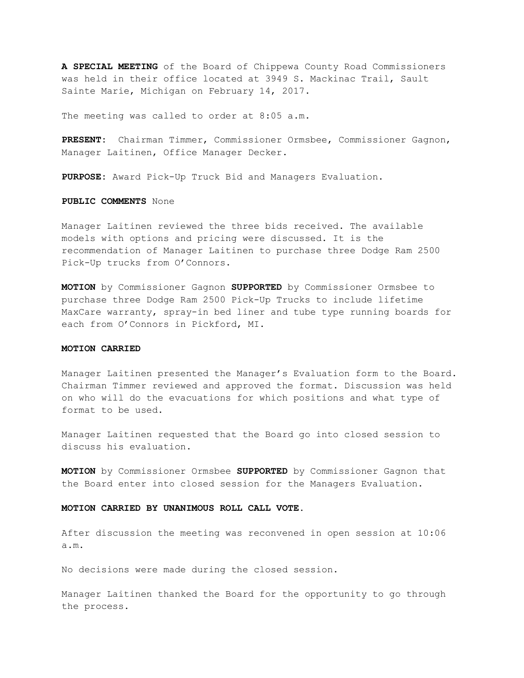**A SPECIAL MEETING** of the Board of Chippewa County Road Commissioners was held in their office located at 3949 S. Mackinac Trail, Sault Sainte Marie, Michigan on February 14, 2017.

The meeting was called to order at 8:05 a.m.

**PRESENT:** Chairman Timmer, Commissioner Ormsbee, Commissioner Gagnon, Manager Laitinen, Office Manager Decker.

**PURPOSE:** Award Pick-Up Truck Bid and Managers Evaluation.

**PUBLIC COMMENTS** None

Manager Laitinen reviewed the three bids received. The available models with options and pricing were discussed. It is the recommendation of Manager Laitinen to purchase three Dodge Ram 2500 Pick-Up trucks from O'Connors.

**MOTION** by Commissioner Gagnon **SUPPORTED** by Commissioner Ormsbee to purchase three Dodge Ram 2500 Pick-Up Trucks to include lifetime MaxCare warranty, spray-in bed liner and tube type running boards for each from O'Connors in Pickford, MI.

## **MOTION CARRIED**

Manager Laitinen presented the Manager's Evaluation form to the Board. Chairman Timmer reviewed and approved the format. Discussion was held on who will do the evacuations for which positions and what type of format to be used.

Manager Laitinen requested that the Board go into closed session to discuss his evaluation.

**MOTION** by Commissioner Ormsbee **SUPPORTED** by Commissioner Gagnon that the Board enter into closed session for the Managers Evaluation.

## **MOTION CARRIED BY UNANIMOUS ROLL CALL VOTE.**

After discussion the meeting was reconvened in open session at 10:06 a.m.

No decisions were made during the closed session.

Manager Laitinen thanked the Board for the opportunity to go through the process.